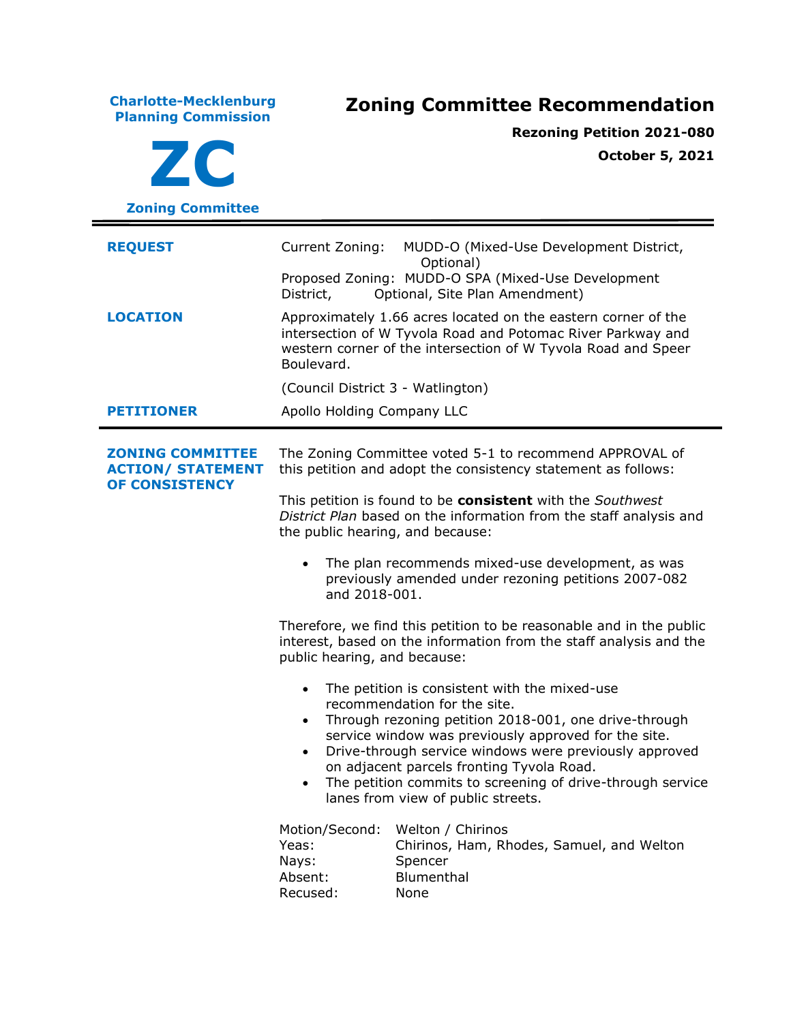**Charlotte-Mecklenburg Planning Commission Zoning Committee Recommendation ZC Zoning Committee Rezoning Petition 2021-080 October 5, 2021 REQUEST** Current Zoning: MUDD-O (Mixed-Use Development District, Optional) Proposed Zoning: MUDD-O SPA (Mixed-Use Development District, Optional, Site Plan Amendment) **LOCATION** Approximately 1.66 acres located on the eastern corner of the intersection of W Tyvola Road and Potomac River Parkway and western corner of the intersection of W Tyvola Road and Speer Boulevard. (Council District 3 - Watlington) **PETITIONER** Apollo Holding Company LLC **ZONING COMMITTEE ACTION/ STATEMENT OF CONSISTENCY** The Zoning Committee voted 5-1 to recommend APPROVAL of this petition and adopt the consistency statement as follows: This petition is found to be **consistent** with the *Southwest District Plan* based on the information from the staff analysis and the public hearing, and because: The plan recommends mixed-use development, as was previously amended under rezoning petitions 2007-082 and 2018-001. Therefore, we find this petition to be reasonable and in the public interest, based on the information from the staff analysis and the public hearing, and because: • The petition is consistent with the mixed-use recommendation for the site. • Through rezoning petition 2018-001, one drive-through service window was previously approved for the site. • Drive-through service windows were previously approved on adjacent parcels fronting Tyvola Road. The petition commits to screening of drive-through service lanes from view of public streets. Motion/Second: Welton / Chirinos Yeas: Chirinos, Ham, Rhodes, Samuel, and Welton Nays: Spencer Absent: Blumenthal Recused: None